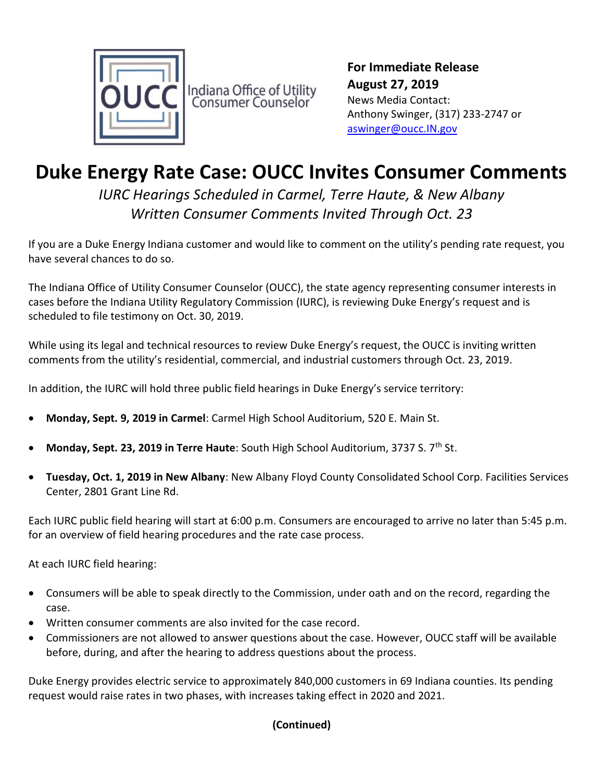

For Immediate Release August 27, 2019 News Media Contact: Anthony Swinger, (317) 233-2747 or aswinger@oucc.IN.gov

## Duke Energy Rate Case: OUCC Invites Consumer Comments

IURC Hearings Scheduled in Carmel, Terre Haute, & New Albany Written Consumer Comments Invited Through Oct. 23

If you are a Duke Energy Indiana customer and would like to comment on the utility's pending rate request, you have several chances to do so.

The Indiana Office of Utility Consumer Counselor (OUCC), the state agency representing consumer interests in cases before the Indiana Utility Regulatory Commission (IURC), is reviewing Duke Energy's request and is scheduled to file testimony on Oct. 30, 2019.

While using its legal and technical resources to review Duke Energy's request, the OUCC is inviting written comments from the utility's residential, commercial, and industrial customers through Oct. 23, 2019.

In addition, the IURC will hold three public field hearings in Duke Energy's service territory:

- Monday, Sept. 9, 2019 in Carmel: Carmel High School Auditorium, 520 E. Main St.
- Monday, Sept. 23, 2019 in Terre Haute: South High School Auditorium, 3737 S. 7<sup>th</sup> St.
- Tuesday, Oct. 1, 2019 in New Albany: New Albany Floyd County Consolidated School Corp. Facilities Services Center, 2801 Grant Line Rd.

Each IURC public field hearing will start at 6:00 p.m. Consumers are encouraged to arrive no later than 5:45 p.m. for an overview of field hearing procedures and the rate case process.

At each IURC field hearing:

- Consumers will be able to speak directly to the Commission, under oath and on the record, regarding the case.
- Written consumer comments are also invited for the case record.
- Commissioners are not allowed to answer questions about the case. However, OUCC staff will be available before, during, and after the hearing to address questions about the process.

Duke Energy provides electric service to approximately 840,000 customers in 69 Indiana counties. Its pending request would raise rates in two phases, with increases taking effect in 2020 and 2021.

## (Continued)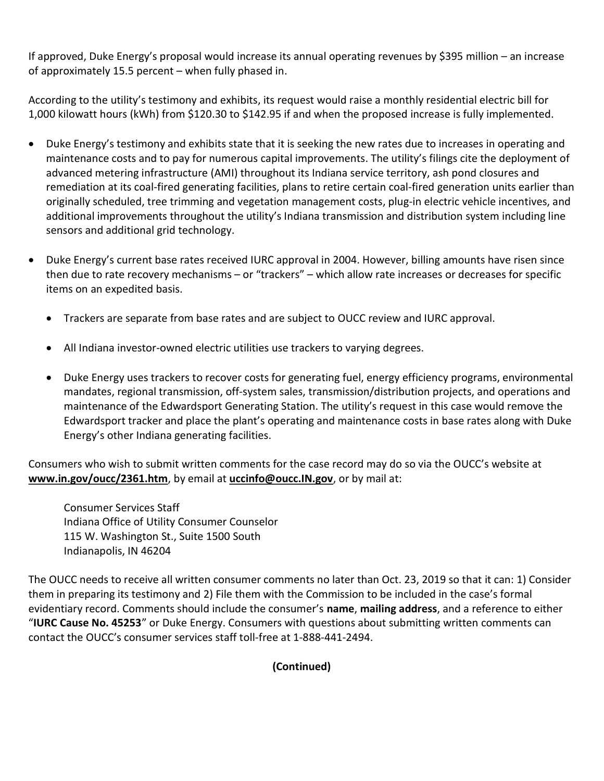If approved, Duke Energy's proposal would increase its annual operating revenues by \$395 million – an increase of approximately 15.5 percent – when fully phased in.

According to the utility's testimony and exhibits, its request would raise a monthly residential electric bill for 1,000 kilowatt hours (kWh) from \$120.30 to \$142.95 if and when the proposed increase is fully implemented.

- Duke Energy's testimony and exhibits state that it is seeking the new rates due to increases in operating and maintenance costs and to pay for numerous capital improvements. The utility's filings cite the deployment of advanced metering infrastructure (AMI) throughout its Indiana service territory, ash pond closures and remediation at its coal-fired generating facilities, plans to retire certain coal-fired generation units earlier than originally scheduled, tree trimming and vegetation management costs, plug-in electric vehicle incentives, and additional improvements throughout the utility's Indiana transmission and distribution system including line sensors and additional grid technology.
- Duke Energy's current base rates received IURC approval in 2004. However, billing amounts have risen since then due to rate recovery mechanisms – or "trackers" – which allow rate increases or decreases for specific items on an expedited basis.
	- Trackers are separate from base rates and are subject to OUCC review and IURC approval.
	- All Indiana investor-owned electric utilities use trackers to varying degrees.
	- Duke Energy uses trackers to recover costs for generating fuel, energy efficiency programs, environmental mandates, regional transmission, off-system sales, transmission/distribution projects, and operations and maintenance of the Edwardsport Generating Station. The utility's request in this case would remove the Edwardsport tracker and place the plant's operating and maintenance costs in base rates along with Duke Energy's other Indiana generating facilities.

Consumers who wish to submit written comments for the case record may do so via the OUCC's website at www.in.gov/oucc/2361.htm, by email at uccinfo@oucc.IN.gov, or by mail at:

Consumer Services Staff Indiana Office of Utility Consumer Counselor 115 W. Washington St., Suite 1500 South Indianapolis, IN 46204

The OUCC needs to receive all written consumer comments no later than Oct. 23, 2019 so that it can: 1) Consider them in preparing its testimony and 2) File them with the Commission to be included in the case's formal evidentiary record. Comments should include the consumer's name, mailing address, and a reference to either "IURC Cause No. 45253" or Duke Energy. Consumers with questions about submitting written comments can contact the OUCC's consumer services staff toll-free at 1-888-441-2494.

(Continued)